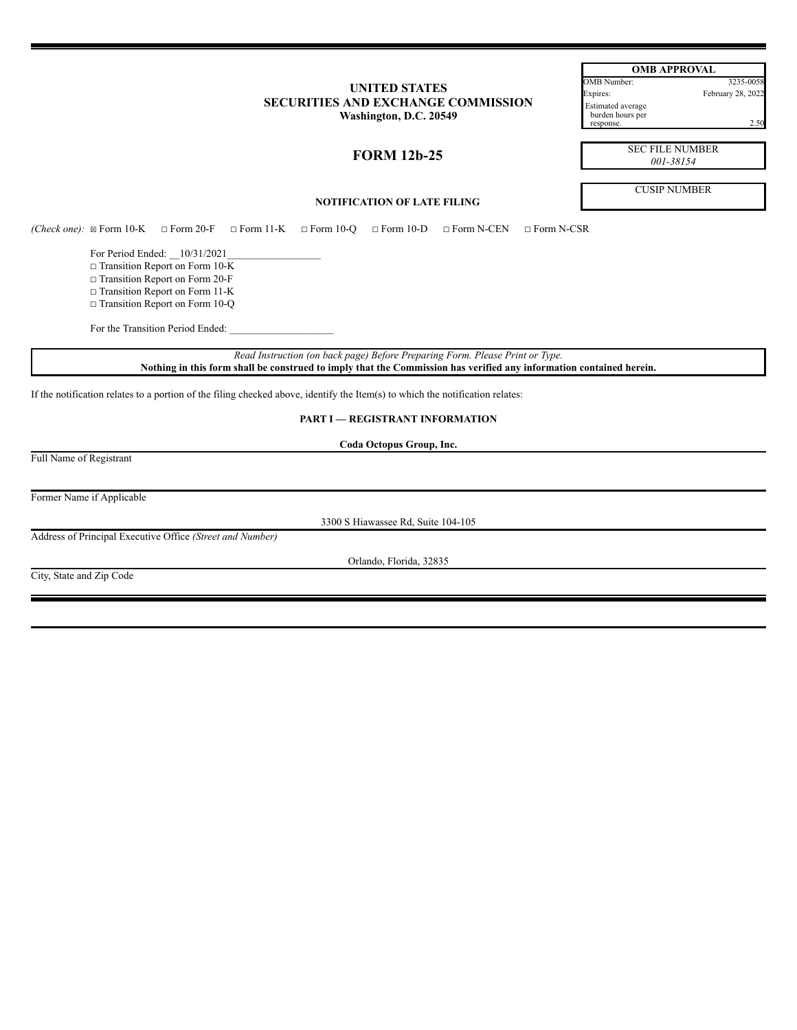# **UNITED STATES SECURITIES AND EXCHANGE COMMISSION Washington, D.C. 20549**

| <b>OMB APPROVAL</b>                          |                   |  |
|----------------------------------------------|-------------------|--|
| OMB Number:                                  | 3235-0058         |  |
| Expires:                                     | February 28, 2022 |  |
| <b>Estimated</b> average<br>burden hours per |                   |  |

response. 2.50

**FORM 12b-25**

SEC FILE NUMBER *001-38154*

CUSIP NUMBER

**NOTIFICATION OF LATE FILING**

*(Check one):* ☒ Form 10-K ☐ Form 20-F ☐ Form 11-K ☐ Form 10-Q ☐ Form 10-D ☐ Form N-CEN ☐ Form N-CSR

For Period Ended: \_\_10/31/2021

 $\Box$  Transition Report on Form 10- $\overline{K}$ 

☐ Transition Report on Form 20-F

□ Transition Report on Form 11-K

☐ Transition Report on Form 10-Q

For the Transition Period Ended:

*Read Instruction (on back page) Before Preparing Form. Please Print or Type.* Nothing in this form shall be construed to imply that the Commission has verified any information contained herein.

If the notification relates to a portion of the filing checked above, identify the Item(s) to which the notification relates:

**PART I — REGISTRANT INFORMATION**

**Coda Octopus Group, Inc.**

Full Name of Registrant

Former Name if Applicable

3300 S Hiawassee Rd, Suite 104-105

Address of Principal Executive Office *(Street and Number)*

Orlando, Florida, 32835

City, State and Zip Code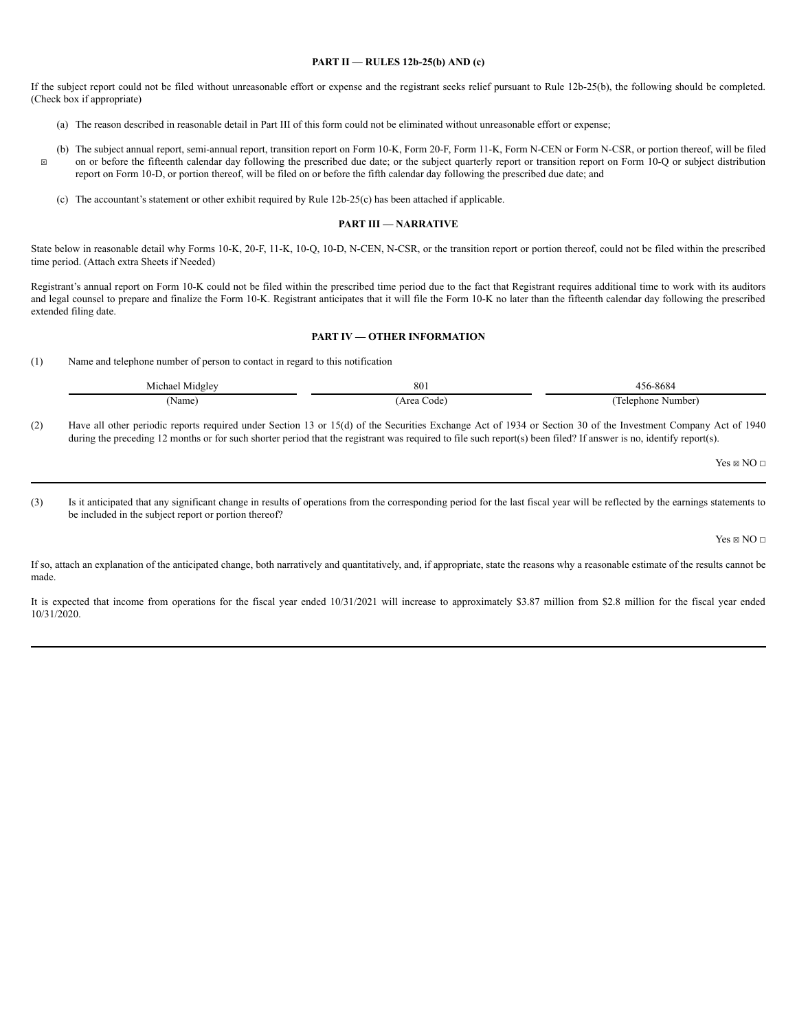### **PART II — RULES 12b-25(b) AND (c)**

If the subject report could not be filed without unreasonable effort or expense and the registrant seeks relief pursuant to Rule 12b-25(b), the following should be completed. (Check box if appropriate)

- (a) The reason described in reasonable detail in Part III of this form could not be eliminated without unreasonable effort or expense;
- ☒ (b) The subject annual report, semi-annual report, transition report on Form 10-K, Form 20-F, Form 11-K, Form N-CEN or Form N-CSR, or portion thereof, will be filed on or before the fifteenth calendar day following the prescribed due date; or the subject quarterly report or transition report on Form 10-Q or subject distribution report on Form 10-D, or portion thereof, will be filed on or before the fifth calendar day following the prescribed due date; and
	- (c) The accountant's statement or other exhibit required by Rule 12b-25(c) has been attached if applicable.

#### **PART III — NARRATIVE**

State below in reasonable detail why Forms 10-K, 20-F, 11-K, 10-Q, 10-D, N-CEN, N-CSR, or the transition report or portion thereof, could not be filed within the prescribed time period. (Attach extra Sheets if Needed)

Registrant's annual report on Form 10-K could not be filed within the prescribed time period due to the fact that Registrant requires additional time to work with its auditors and legal counsel to prepare and finalize the Form 10-K. Registrant anticipates that it will file the Form 10-K no later than the fifteenth calendar day following the prescribed extended filing date.

### **PART IV — OTHER INFORMATION**

(1) Name and telephone number of person to contact in regard to this notification

| Michael<br>Midgley | 801               | 5-8684<br>156      |
|--------------------|-------------------|--------------------|
| (Name              | Area<br>Code<br>. | . Ielephone Number |

(2) Have all other periodic reports required under Section 13 or 15(d) of the Securities Exchange Act of 1934 or Section 30 of the Investment Company Act of 1940 during the preceding 12 months or for such shorter period that the registrant was required to file such report(s) been filed? If answer is no, identify report(s).

 $Yes \boxtimes NO \sqcap$ 

(3) Is it anticipated that any significant change in results of operations from the corresponding period for the last fiscal year will be reflected by the earnings statements to be included in the subject report or portion thereof?

 $Yes \boxtimes NO \square$ 

If so, attach an explanation of the anticipated change, both narratively and quantitatively, and, if appropriate, state the reasons why a reasonable estimate of the results cannot be made.

It is expected that income from operations for the fiscal year ended 10/31/2021 will increase to approximately \$3.87 million from \$2.8 million for the fiscal year ended 10/31/2020.